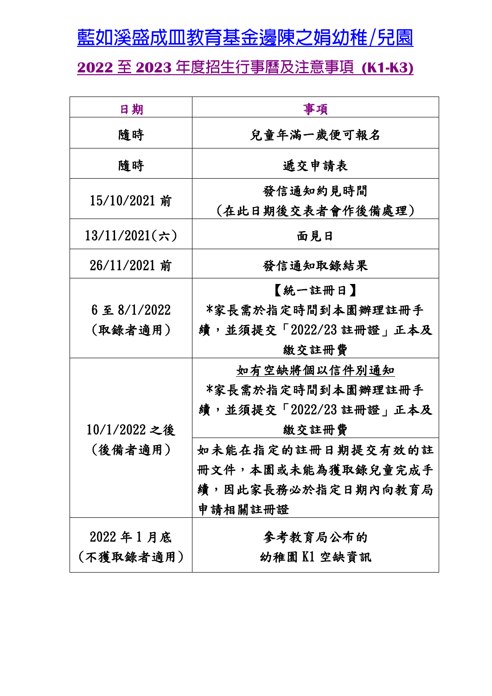藍如溪盛成皿教育基金邊陳之娟幼稚/兒園

**2022** 至 **2023** 年度招生行事曆及注意事項 **(K1-K3)**

| 日期            | 事項                           |
|---------------|------------------------------|
| 隨時            | 兒童年滿一歲便可報名                   |
| 隨時            | 遞交申請表                        |
| 15/10/2021 前  | 發信通知約見時間<br>(在此日期後交表者會作後備處理) |
| 13/11/2021(六) | 面見日                          |
| 26/11/2021 前  | 發信通知取錄結果                     |
|               | 【統一註冊日】                      |
| 6至8/1/2022    | *家長需於指定時間到本園辦理註冊手            |
| (取錄者適用)       | 續,並須提交「2022/23 註冊證」正本及       |
|               | 繳交註冊費                        |
|               | 如有空缺將個以信件別通知                 |
|               | *家長需於指定時間到本園辦理註冊手            |
|               | 續,並須提交「2022/23 註冊證」正本及       |
| 10/1/2022 之後  | 繳交註冊費                        |
| (後備者適用)       | 如未能在指定的註册日期提交有效的註            |
|               | 冊文件,本園或未能為獲取錄兒童完成手           |
|               | 續,因此家長務必於指定日期內向教育局           |
|               | 申請相關註冊證                      |
| 2022年1月底      | 參考教育局公布的                     |
| (不獲取錄者適用)     | 幼稚園K1空缺資訊                    |
|               |                              |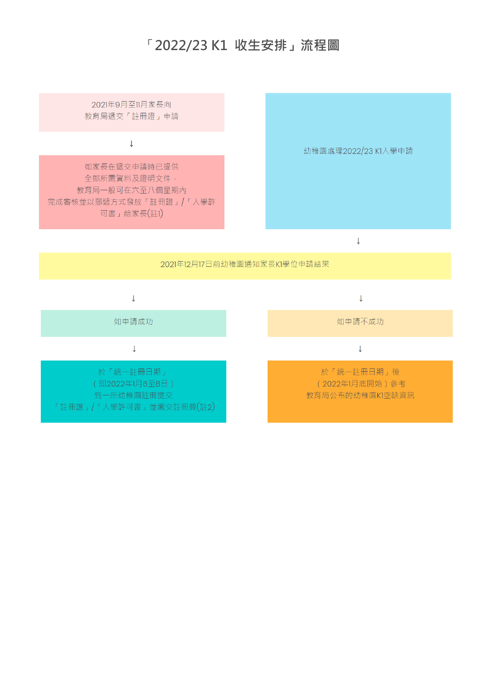# 「**2022/23 K1 收生安排」流程圖**

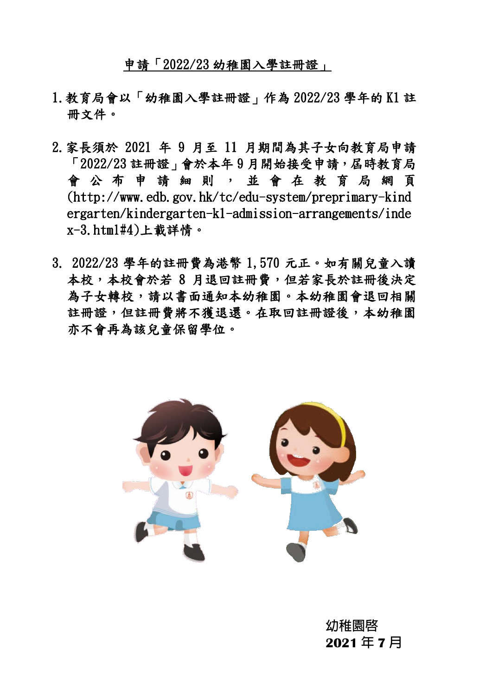申請「2022/23 幼稚園入學註冊證」

- 1.教育局會以「幼稚園入學註冊證」作為 2022/23 學年的 K1 註 冊文件。
- 2.家長須於 2021 年 9 月至 11 月期間為其子女向教育局申請 「2022/23 註冊證」會於本年 9 月開始接受申請,屆時教育局 會 公 布 申 請 細 則 , 並 會 在 教 育 局 網 頁 (http://www.edb.gov.hk/tc/edu-system/preprimary-kind ergarten/kindergarten-k1-admission-arrangements/inde x-3.html#4)上載詳情。
- 3. 2022/23 學年的註冊費為港幣 1,570 元正。如有關兒童入讀 本校,本校會於若 8 月退回註冊費,但若家長於註冊後決定 為子女轉校,請以書面通知本幼稚園。本幼稚園會退回相關 註冊證,但註冊費將不獲退還。在取回註冊證後,本幼稚園 亦不會再為該兒童保留學位。



幼稚園啟 **2021** 年 **7** 月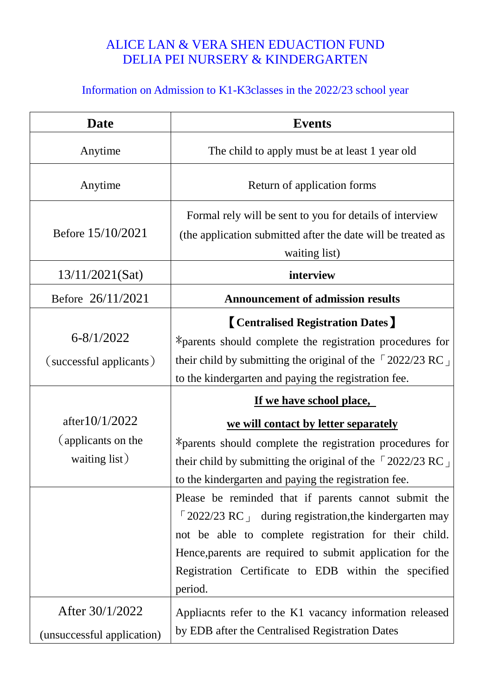## ALICE LAN & VERA SHEN EDUACTION FUND DELIA PEI NURSERY & KINDERGARTEN

# Information on Admission to K1-K3classes in the 2022/23 school year

| <b>Date</b>                                              | <b>Events</b>                                                                                                                                                                                                                                                                                                                                                                                                                                                                                                                                                                   |
|----------------------------------------------------------|---------------------------------------------------------------------------------------------------------------------------------------------------------------------------------------------------------------------------------------------------------------------------------------------------------------------------------------------------------------------------------------------------------------------------------------------------------------------------------------------------------------------------------------------------------------------------------|
| Anytime                                                  | The child to apply must be at least 1 year old                                                                                                                                                                                                                                                                                                                                                                                                                                                                                                                                  |
| Anytime                                                  | Return of application forms                                                                                                                                                                                                                                                                                                                                                                                                                                                                                                                                                     |
| Before 15/10/2021                                        | Formal rely will be sent to you for details of interview<br>(the application submitted after the date will be treated as<br>waiting list)                                                                                                                                                                                                                                                                                                                                                                                                                                       |
| 13/11/2021(Sat)                                          | interview                                                                                                                                                                                                                                                                                                                                                                                                                                                                                                                                                                       |
| Before 26/11/2021                                        | <b>Announcement of admission results</b>                                                                                                                                                                                                                                                                                                                                                                                                                                                                                                                                        |
| $6 - 8/1/2022$<br>(successful applicants)                | <b>[Centralised Registration Dates]</b><br>*parents should complete the registration procedures for<br>their child by submitting the original of the $\sqrt{2022/23}$ RC $\perp$<br>to the kindergarten and paying the registration fee.                                                                                                                                                                                                                                                                                                                                        |
| after $10/1/2022$<br>(applicants on the<br>waiting list) | If we have school place,<br>we will contact by letter separately<br>*parents should complete the registration procedures for<br>their child by submitting the original of the $\sqrt{2022/23}$ RC<br>to the kindergarten and paying the registration fee.<br>Please be reminded that if parents cannot submit the<br>$\lceil 2022/23 \text{ RC} \rceil$ during registration, the kindergarten may<br>not be able to complete registration for their child.<br>Hence, parents are required to submit application for the<br>Registration Certificate to EDB within the specified |
| After 30/1/2022<br>(unsuccessful application)            | period.<br>Appliaents refer to the K1 vacancy information released<br>by EDB after the Centralised Registration Dates                                                                                                                                                                                                                                                                                                                                                                                                                                                           |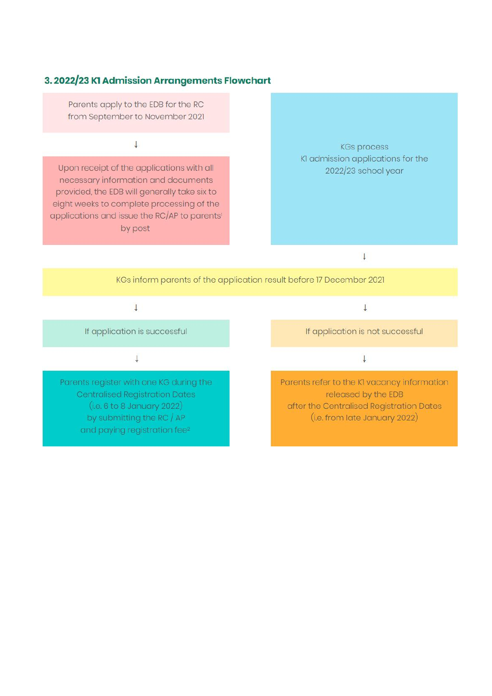### 3. 2022/23 K1 Admission Arrangements Flowchart

Parents apply to the EDB for the RC from September to November 2021

 $\downarrow$ 

Upon receipt of the applications with all necessary information and documents provided, the EDB will generally take six to eight weeks to complete processing of the applications and issue the RC/AP to parents<sup>1</sup> by post

**KGs process** KI admission applications for the 2022/23 school year

 $\downarrow$ 

KGs inform parents of the application result before 17 December 2021

#### $\downarrow$

If application is successful

 $\downarrow$ 

Parents register with one KG during the **Centralised Registration Dates**  $(i.e. 6 to 8 January 2022)$ by submitting the RC / AP and paying registration fee<sup>2</sup>

 $\downarrow$ 

If application is not successful

 $\downarrow$ 

Parents refer to the KI vacancy information released by the EDB after the Centralised Registration Dates (i.e. from late January 2022)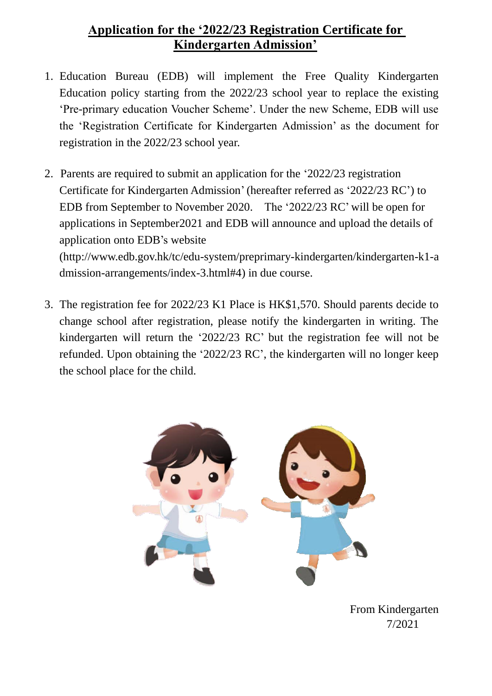### **Application for the '2022/23 Registration Certificate for Kindergarten Admission'**

- 1. Education Bureau (EDB) will implement the Free Quality Kindergarten Education policy starting from the 2022/23 school year to replace the existing 'Pre-primary education Voucher Scheme'. Under the new Scheme, EDB will use the 'Registration Certificate for Kindergarten Admission' as the document for registration in the 2022/23 school year.
- 2. Parents are required to submit an application for the '2022/23 registration Certificate for Kindergarten Admission'(hereafter referred as '2022/23 RC') to EDB from September to November 2020. The '2022/23 RC' will be open for applications in September2021 and EDB will announce and upload the details of application onto EDB's website (http://www.edb.gov.hk/tc/edu-system/preprimary-kindergarten/kindergarten-k1-a

dmission-arrangements/index-3.html#4) in due course.

3. The registration fee for 2022/23 K1 Place is HK\$1,570. Should parents decide to change school after registration, please notify the kindergarten in writing. The kindergarten will return the '2022/23 RC' but the registration fee will not be refunded. Upon obtaining the '2022/23 RC', the kindergarten will no longer keep the school place for the child.



 From Kindergarten 7/2021